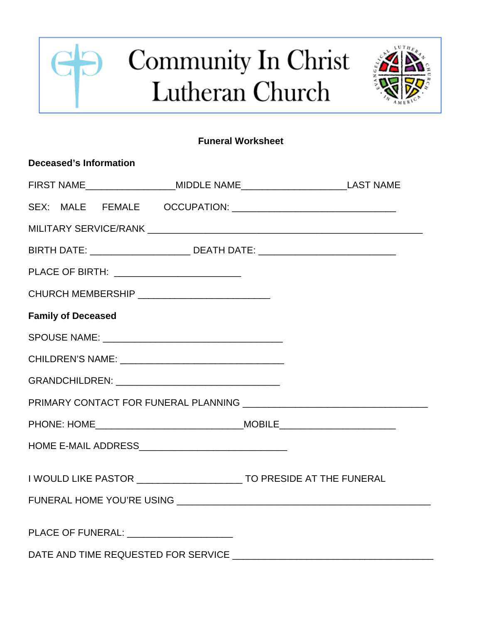## $\Theta$ Community In Christ G Lutheran Church



## **Funeral Worksheet**

| Deceased's Information                                                            |  |
|-----------------------------------------------------------------------------------|--|
| FIRST NAME______________________MIDDLE NAME_____________________________LAST NAME |  |
|                                                                                   |  |
|                                                                                   |  |
| BIRTH DATE: ____________________________ DEATH DATE: ___________________________  |  |
| PLACE OF BIRTH: __________________________                                        |  |
| CHURCH MEMBERSHIP _____________________________                                   |  |
| <b>Family of Deceased</b>                                                         |  |
|                                                                                   |  |
|                                                                                   |  |
|                                                                                   |  |
|                                                                                   |  |
|                                                                                   |  |
|                                                                                   |  |
| I WOULD LIKE PASTOR __________________________ TO PRESIDE AT THE FUNERAL          |  |
|                                                                                   |  |
| PLACE OF FUNERAL: ______________________                                          |  |
|                                                                                   |  |